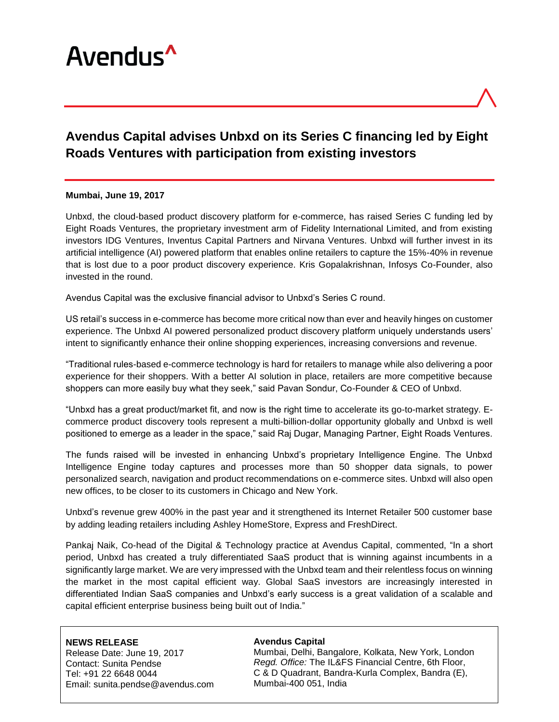

# **Avendus Capital advises Unbxd on its Series C financing led by Eight Roads Ventures with participation from existing investors**

### **Mumbai, June 19, 2017**

Unbxd, the cloud-based product discovery platform for e-commerce, has raised Series C funding led by Eight Roads Ventures, the proprietary investment arm of Fidelity International Limited, and from existing investors IDG Ventures, Inventus Capital Partners and Nirvana Ventures. Unbxd will further invest in its artificial intelligence (AI) powered platform that enables online retailers to capture the 15%-40% in revenue that is lost due to a poor product discovery experience. Kris Gopalakrishnan, Infosys Co-Founder, also invested in the round.

Avendus Capital was the exclusive financial advisor to Unbxd's Series C round.

US retail's success in e-commerce has become more critical now than ever and heavily hinges on customer experience. The Unbxd AI powered personalized product discovery platform uniquely understands users' intent to significantly enhance their online shopping experiences, increasing conversions and revenue.

"Traditional rules-based e-commerce technology is hard for retailers to manage while also delivering a poor experience for their shoppers. With a better AI solution in place, retailers are more competitive because shoppers can more easily buy what they seek," said Pavan Sondur, Co-Founder & CEO of Unbxd.

"Unbxd has a great product/market fit, and now is the right time to accelerate its go-to-market strategy. Ecommerce product discovery tools represent a multi-billion-dollar opportunity globally and Unbxd is well positioned to emerge as a leader in the space," said Raj Dugar, Managing Partner, Eight Roads Ventures.

The funds raised will be invested in enhancing Unbxd's proprietary Intelligence Engine. The Unbxd Intelligence Engine today captures and processes more than 50 shopper data signals, to power personalized search, navigation and product recommendations on e-commerce sites. Unbxd will also open new offices, to be closer to its customers in Chicago and New York.

Unbxd's revenue grew 400% in the past year and it strengthened its Internet Retailer 500 customer base by adding leading retailers including Ashley HomeStore, Express and FreshDirect.

Pankaj Naik, Co-head of the Digital & Technology practice at Avendus Capital, commented, "In a short period, Unbxd has created a truly differentiated SaaS product that is winning against incumbents in a significantly large market. We are very impressed with the Unbxd team and their relentless focus on winning the market in the most capital efficient way. Global SaaS investors are increasingly interested in differentiated Indian SaaS companies and Unbxd's early success is a great validation of a scalable and capital efficient enterprise business being built out of India."

## **NEWS RELEASE**

Release Date: June 19, 2017 Contact: Sunita Pendse Tel: +91 22 6648 0044 Email: sunita.pendse@avendus.com

#### **Avendus Capital**

Mumbai, Delhi, Bangalore, Kolkata, New York, London *Regd. Office:* The IL&FS Financial Centre, 6th Floor, C & D Quadrant, Bandra-Kurla Complex, Bandra (E), Mumbai-400 051, India